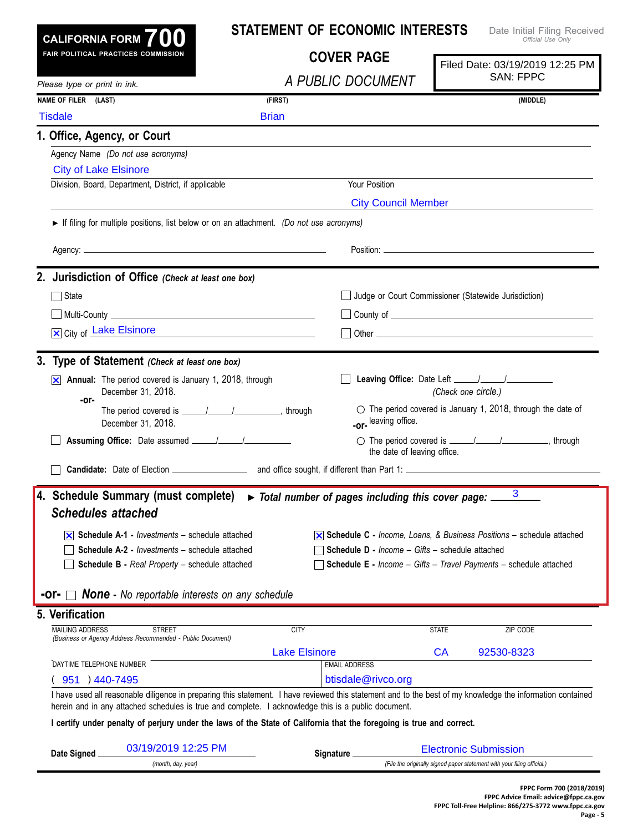|                                     | CALIFORNIA FORM $700$                                                                   | <b>STATEMENT OF ECONOMIC INTERESTS</b><br>Date Initial Filing Received<br>Official Use Only                          |                                                                                                                                                            |
|-------------------------------------|-----------------------------------------------------------------------------------------|----------------------------------------------------------------------------------------------------------------------|------------------------------------------------------------------------------------------------------------------------------------------------------------|
| FAIR POLITICAL PRACTICES COMMISSION |                                                                                         | <b>COVER PAGE</b>                                                                                                    | Filed Date: 03/19/2019 12:25 PM<br><b>SAN: FPPC</b>                                                                                                        |
| Please type or print in ink.        |                                                                                         | A PUBLIC DOCUMENT                                                                                                    |                                                                                                                                                            |
| NAME OF FILER (LAST)                |                                                                                         | (FIRST)                                                                                                              | (MIDDLE)                                                                                                                                                   |
| <b>Tisdale</b>                      |                                                                                         | <b>Brian</b>                                                                                                         |                                                                                                                                                            |
|                                     | 1. Office, Agency, or Court                                                             |                                                                                                                      |                                                                                                                                                            |
|                                     | Agency Name (Do not use acronyms)                                                       |                                                                                                                      |                                                                                                                                                            |
|                                     | <b>City of Lake Elsinore</b>                                                            |                                                                                                                      |                                                                                                                                                            |
|                                     | Division, Board, Department, District, if applicable                                    | Your Position                                                                                                        |                                                                                                                                                            |
|                                     |                                                                                         | <b>City Council Member</b>                                                                                           |                                                                                                                                                            |
|                                     | If filing for multiple positions, list below or on an attachment. (Do not use acronyms) |                                                                                                                      |                                                                                                                                                            |
|                                     |                                                                                         |                                                                                                                      |                                                                                                                                                            |
|                                     | 2. Jurisdiction of Office (Check at least one box)                                      |                                                                                                                      |                                                                                                                                                            |
| □ State                             |                                                                                         |                                                                                                                      | Judge or Court Commissioner (Statewide Jurisdiction)                                                                                                       |
|                                     |                                                                                         |                                                                                                                      |                                                                                                                                                            |
|                                     | X City of Lake Elsinore<br><u> 1980 - Johann Barbara, martin a</u>                      |                                                                                                                      |                                                                                                                                                            |
|                                     | 3. Type of Statement (Check at least one box)                                           |                                                                                                                      |                                                                                                                                                            |
| $\vert \mathsf{x} \vert$            | Annual: The period covered is January 1, 2018, through<br>December 31, 2018.            |                                                                                                                      | (Check one circle.)                                                                                                                                        |
| -or-                                | December 31, 2018.                                                                      | -or-leaving office.                                                                                                  | $\circ$ The period covered is January 1, 2018, through the date of                                                                                         |
|                                     |                                                                                         | the date of leaving office.                                                                                          |                                                                                                                                                            |
|                                     |                                                                                         |                                                                                                                      |                                                                                                                                                            |
|                                     |                                                                                         | 4. Schedule Summary (must complete) > Total number of pages including this cover page: $\frac{3}{2}$                 |                                                                                                                                                            |
|                                     | <b>Schedules attached</b>                                                               |                                                                                                                      |                                                                                                                                                            |
|                                     | $\overline{\mathsf{x}}$ Schedule A-1 - <i>Investments</i> – schedule attached           |                                                                                                                      | $\overline{\times}$ Schedule C - Income, Loans, & Business Positions – schedule attached                                                                   |
|                                     | <b>Schedule A-2 - Investments - schedule attached</b>                                   | <b>Schedule D - Income - Gifts - schedule attached</b>                                                               |                                                                                                                                                            |
|                                     | Schedule B - Real Property - schedule attached                                          |                                                                                                                      | <b>Schedule E</b> - Income - Gifts - Travel Payments - schedule attached                                                                                   |
|                                     | <b>None</b> - No reportable interests on any schedule                                   |                                                                                                                      |                                                                                                                                                            |
|                                     |                                                                                         |                                                                                                                      |                                                                                                                                                            |
|                                     |                                                                                         |                                                                                                                      |                                                                                                                                                            |
| <b>MAILING ADDRESS</b>              | <b>STREET</b><br>(Business or Agency Address Recommended - Public Document)             | <b>CITY</b>                                                                                                          | <b>STATE</b><br>ZIP CODE                                                                                                                                   |
|                                     |                                                                                         | <b>Lake Elsinore</b>                                                                                                 | CA<br>92530-8323                                                                                                                                           |
| DAYTIME TELEPHONE NUMBER            |                                                                                         | <b>EMAIL ADDRESS</b>                                                                                                 |                                                                                                                                                            |
| 951 ) 440-7495                      |                                                                                         | btisdale@rivco.org                                                                                                   |                                                                                                                                                            |
|                                     |                                                                                         | herein and in any attached schedules is true and complete. I acknowledge this is a public document.                  | I have used all reasonable diligence in preparing this statement. I have reviewed this statement and to the best of my knowledge the information contained |
|                                     |                                                                                         | I certify under penalty of perjury under the laws of the State of California that the foregoing is true and correct. |                                                                                                                                                            |
| 5. Verification<br>Date Signed.     | 03/19/2019 12:25 PM                                                                     | Signature _                                                                                                          | <b>Electronic Submission</b>                                                                                                                               |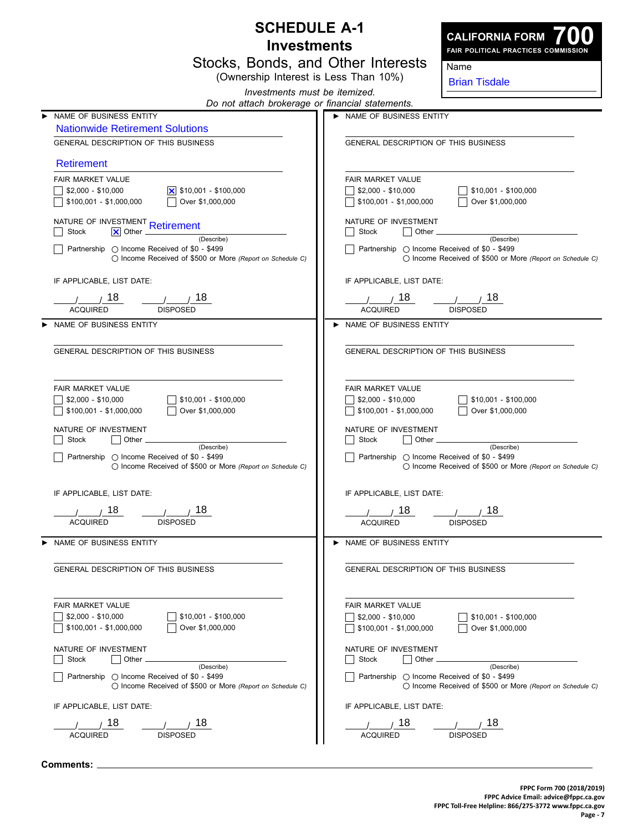|                                    | <b>SCHEDULE A-1</b>                                                                                                |                                                                           |                                                                    |
|------------------------------------|--------------------------------------------------------------------------------------------------------------------|---------------------------------------------------------------------------|--------------------------------------------------------------------|
| <b>Investments</b>                 |                                                                                                                    |                                                                           | <b>CALIFORNIA FORM</b><br>FAIR POLITICAL PRACTICES COMMISSION      |
| Stocks, Bonds, and Other Interests |                                                                                                                    |                                                                           | Name                                                               |
|                                    | (Ownership Interest is Less Than 10%)                                                                              |                                                                           | <b>Brian Tisdale</b>                                               |
|                                    | Investments must be itemized.                                                                                      |                                                                           |                                                                    |
|                                    | Do not attach brokerage or financial statements.<br>NAME OF BUSINESS ENTITY                                        | NAME OF BUSINESS ENTITY                                                   |                                                                    |
|                                    | <b>Nationwide Retirement Solutions</b>                                                                             |                                                                           |                                                                    |
|                                    | GENERAL DESCRIPTION OF THIS BUSINESS                                                                               | GENERAL DESCRIPTION OF THIS BUSINESS                                      |                                                                    |
|                                    | <b>Retirement</b>                                                                                                  |                                                                           |                                                                    |
|                                    | <b>FAIR MARKET VALUE</b>                                                                                           | <b>FAIR MARKET VALUE</b>                                                  |                                                                    |
|                                    | $$2,000 - $10,000$<br>$ \mathsf{x} $ \$10,001 - \$100,000                                                          | $$2,000 - $10,000$                                                        | $$10,001 - $100,000$                                               |
|                                    | \$100,001 - \$1,000,000<br>Over \$1,000,000                                                                        | $$100,001 - $1,000,000$                                                   | Over \$1,000,000                                                   |
|                                    | NATURE OF INVESTMENT Retirement                                                                                    | NATURE OF INVESTMENT                                                      |                                                                    |
|                                    | $ \mathsf{x} $ Other<br>Stock<br>(Describe)                                                                        | Other.<br>Stock                                                           | (Describe)                                                         |
|                                    | Partnership ◯ Income Received of \$0 - \$499<br>$\bigcirc$ Income Received of \$500 or More (Report on Schedule C) | Partnership $\bigcirc$ Income Received of \$0 - \$499                     | ◯ Income Received of \$500 or More (Report on Schedule C)          |
|                                    |                                                                                                                    |                                                                           |                                                                    |
|                                    | IF APPLICABLE, LIST DATE:                                                                                          | IF APPLICABLE, LIST DATE:                                                 |                                                                    |
|                                    | 18<br>18.                                                                                                          | 18                                                                        | 18.                                                                |
|                                    | <b>DISPOSED</b><br><b>ACQUIRED</b>                                                                                 | <b>ACQUIRED</b>                                                           | <b>DISPOSED</b>                                                    |
|                                    | NAME OF BUSINESS ENTITY                                                                                            | NAME OF BUSINESS ENTITY                                                   |                                                                    |
|                                    | <b>GENERAL DESCRIPTION OF THIS BUSINESS</b>                                                                        | <b>GENERAL DESCRIPTION OF THIS BUSINESS</b>                               |                                                                    |
|                                    |                                                                                                                    |                                                                           |                                                                    |
|                                    | <b>FAIR MARKET VALUE</b>                                                                                           | <b>FAIR MARKET VALUE</b>                                                  |                                                                    |
|                                    | $$2,000 - $10,000$<br>$$10,001 - $100,000$                                                                         | \$2,000 - \$10,000                                                        | $$10,001 - $100,000$                                               |
|                                    | Over \$1,000,000<br>$$100,001 - $1,000,000$                                                                        | $\vert$ \$100,001 - \$1,000,000                                           | Over \$1,000,000                                                   |
|                                    | NATURE OF INVESTMENT                                                                                               | NATURE OF INVESTMENT                                                      |                                                                    |
|                                    | Stock<br>Other<br>(Describe)                                                                                       | Other<br><b>Stock</b>                                                     | (Describe)                                                         |
|                                    | Partnership ◯ Income Received of \$0 - \$499<br>$\bigcirc$ Income Received of \$500 or More (Report on Schedule C) | Partnership ◯ Income Received of \$0 - \$499                              | $\bigcirc$ Income Received of \$500 or More (Report on Schedule C) |
|                                    |                                                                                                                    |                                                                           |                                                                    |
|                                    | IF APPLICABLE, LIST DATE:                                                                                          | IF APPLICABLE, LIST DATE:                                                 |                                                                    |
|                                    | , 18<br>18                                                                                                         | , 18                                                                      | , 18                                                               |
|                                    | ACQUIRED<br><b>DISPOSED</b>                                                                                        | <b>ACQUIRED</b>                                                           | <b>DISPOSED</b>                                                    |
|                                    | NAME OF BUSINESS ENTITY                                                                                            | NAME OF BUSINESS ENTITY                                                   |                                                                    |
|                                    |                                                                                                                    |                                                                           |                                                                    |
|                                    | GENERAL DESCRIPTION OF THIS BUSINESS                                                                               | GENERAL DESCRIPTION OF THIS BUSINESS                                      |                                                                    |
|                                    |                                                                                                                    |                                                                           |                                                                    |
|                                    | <b>FAIR MARKET VALUE</b>                                                                                           | FAIR MARKET VALUE                                                         |                                                                    |
|                                    | $$2,000 - $10,000$<br>$$10,001 - $100,000$<br>$$100,001 - $1,000,000$<br>Over \$1,000,000                          | $\frac{1}{2}$ \$2,000 - \$10,000<br>$\frac{1}{2}$ \$100,001 - \$1,000,000 | $$10,001 - $100,000$<br>Over \$1,000,000                           |
|                                    |                                                                                                                    |                                                                           |                                                                    |
|                                    | NATURE OF INVESTMENT<br>Other _<br>Stock                                                                           | NATURE OF INVESTMENT<br>Stock<br>Other _                                  |                                                                    |
|                                    | (Describe)<br>Partnership $\bigcirc$ Income Received of \$0 - \$499                                                | Partnership $\bigcirc$ Income Received of \$0 - \$499                     | (Describe)                                                         |
|                                    | ◯ Income Received of \$500 or More (Report on Schedule C)                                                          |                                                                           | $\bigcirc$ Income Received of \$500 or More (Report on Schedule C) |
|                                    | IF APPLICABLE, LIST DATE:                                                                                          | IF APPLICABLE, LIST DATE:                                                 |                                                                    |
|                                    | , 18<br>$\frac{1}{1}$ $\frac{18}{18}$                                                                              | _/_____/_18                                                               | , 18<br>$\overline{1}$                                             |
|                                    | <b>ACQUIRED</b><br><b>DISPOSED</b>                                                                                 | <b>ACQUIRED</b>                                                           | <b>DISPOSED</b>                                                    |
|                                    |                                                                                                                    |                                                                           |                                                                    |

**Comments:**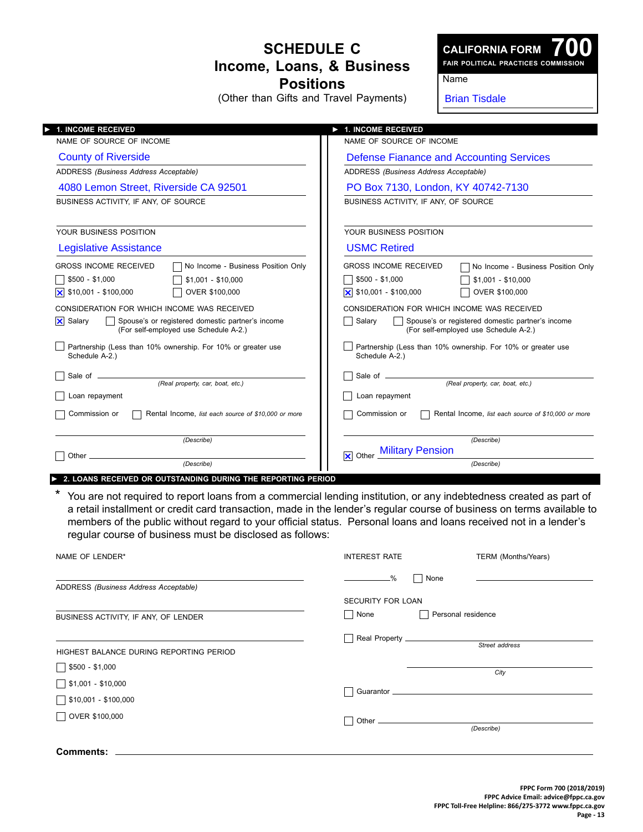## **Schedule C Income, Loans, & Business Positions**

(Other than Gifts and Travel Payments)

**CALIFORNIA FORM**

**700 Fair Political Practices Commission**

## Name

Brian Tisdale

| 1. INCOME RECEIVED                                                                                                                                                             | 1. INCOME RECEIVED                                                                                                                                                            |
|--------------------------------------------------------------------------------------------------------------------------------------------------------------------------------|-------------------------------------------------------------------------------------------------------------------------------------------------------------------------------|
| NAME OF SOURCE OF INCOME                                                                                                                                                       | NAME OF SOURCE OF INCOME                                                                                                                                                      |
| <b>County of Riverside</b>                                                                                                                                                     | Defense Fianance and Accounting Services                                                                                                                                      |
| ADDRESS (Business Address Acceptable)                                                                                                                                          | ADDRESS (Business Address Acceptable)                                                                                                                                         |
| 4080 Lemon Street, Riverside CA 92501                                                                                                                                          | PO Box 7130, London, KY 40742-7130                                                                                                                                            |
| BUSINESS ACTIVITY, IF ANY, OF SOURCE                                                                                                                                           | BUSINESS ACTIVITY, IF ANY, OF SOURCE                                                                                                                                          |
| YOUR BUSINESS POSITION                                                                                                                                                         | YOUR BUSINESS POSITION                                                                                                                                                        |
| Legislative Assistance                                                                                                                                                         | <b>USMC Retired</b>                                                                                                                                                           |
| <b>GROSS INCOME RECEIVED</b><br>No Income - Business Position Only<br>$$500 - $1,000$<br>$$1,001 - $10,000$<br>\$10,001 - \$100,000<br>ΙxΙ<br>OVER \$100,000                   | <b>GROSS INCOME RECEIVED</b><br>No Income - Business Position Only<br>\$500 - \$1,000<br>$$1,001 - $10,000$<br>$\overline{\mathsf{x}}$ \$10,001 - \$100,000<br>OVER \$100,000 |
| CONSIDERATION FOR WHICH INCOME WAS RECEIVED<br>$\vert \mathsf{x} \vert$<br>Salary<br>Spouse's or registered domestic partner's income<br>(For self-employed use Schedule A-2.) | CONSIDERATION FOR WHICH INCOME WAS RECEIVED<br>Salary<br>Spouse's or registered domestic partner's income<br>(For self-employed use Schedule A-2.)                            |
| Partnership (Less than 10% ownership. For 10% or greater use<br>Schedule A-2.)                                                                                                 | Partnership (Less than 10% ownership. For 10% or greater use<br>Schedule A-2.)                                                                                                |
| (Real property, car, boat, etc.)                                                                                                                                               | (Real property, car, boat, etc.)                                                                                                                                              |
| Loan repayment                                                                                                                                                                 | Loan repayment                                                                                                                                                                |
| Commission or<br>Rental Income, list each source of \$10,000 or more                                                                                                           | Commission or<br>Rental Income, list each source of \$10,000 or more                                                                                                          |
| (Describe)                                                                                                                                                                     | (Describe)<br><b>Military Pension</b>                                                                                                                                         |
| Other<br>(Describe)                                                                                                                                                            | $\overline{\mathsf{x}}$ Other<br>(Describe)                                                                                                                                   |

► **2. loans Received or outstanding during the reporting period**

\* You are not required to report loans from a commercial lending institution, or any indebtedness created as part of a retail installment or credit card transaction, made in the lender's regular course of business on terms available to members of the public without regard to your official status. Personal loans and loans received not in a lender's regular course of business must be disclosed as follows:

| NAME OF LENDER*                               | <b>INTEREST RATE</b>                             | TERM (Months/Years) |
|-----------------------------------------------|--------------------------------------------------|---------------------|
| ADDRESS (Business Address Acceptable)         | None<br>$ \frac{\%}{\%}$<br>- 1                  |                     |
| BUSINESS ACTIVITY, IF ANY, OF LENDER          | <b>SECURITY FOR LOAN</b><br>$\mathbf{I}$<br>None | Personal residence  |
| HIGHEST BALANCE DURING REPORTING PERIOD       | $\mathcal{L}$                                    | Street address      |
| $$500 - $1,000$<br>$\sqrt{\$1,001 - $10,000}$ |                                                  | City                |
| $\sqrt{$10,001 - $100,000}$                   |                                                  |                     |
| OVER \$100,000                                |                                                  | (Describe)          |
| Comments:                                     |                                                  |                     |